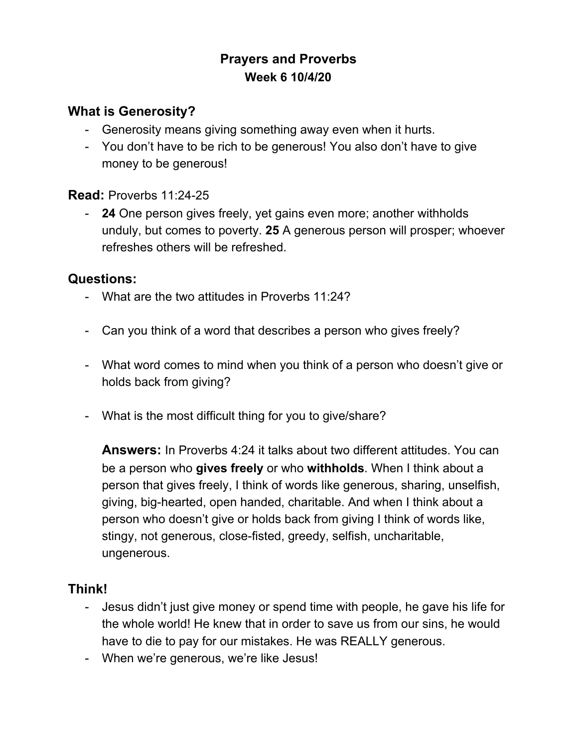# **Prayers and Proverbs Week 6 10/4/20**

### **What is Generosity?**

- Generosity means giving something away even when it hurts.
- You don't have to be rich to be generous! You also don't have to give money to be generous!

#### **Read:** Proverbs 11:24-25

- **24** One person gives freely, yet gains even more; another withholds unduly, but comes to poverty. **25** A generous person will prosper; whoever refreshes others will be refreshed.

#### **Questions:**

- What are the two attitudes in Proverbs 11:24?
- Can you think of a word that describes a person who gives freely?
- What word comes to mind when you think of a person who doesn't give or holds back from giving?
- What is the most difficult thing for you to give/share?

**Answers:** In Proverbs 4:24 it talks about two different attitudes. You can be a person who **gives freely** or who **withholds**. When I think about a person that gives freely, I think of words like generous, sharing, unselfish, giving, big-hearted, open handed, charitable. And when I think about a person who doesn't give or holds back from giving I think of words like, stingy, not generous, close-fisted, greedy, selfish, uncharitable, ungenerous.

#### **Think!**

- Jesus didn't just give money or spend time with people, he gave his life for the whole world! He knew that in order to save us from our sins, he would have to die to pay for our mistakes. He was REALLY generous.
- When we're generous, we're like Jesus!